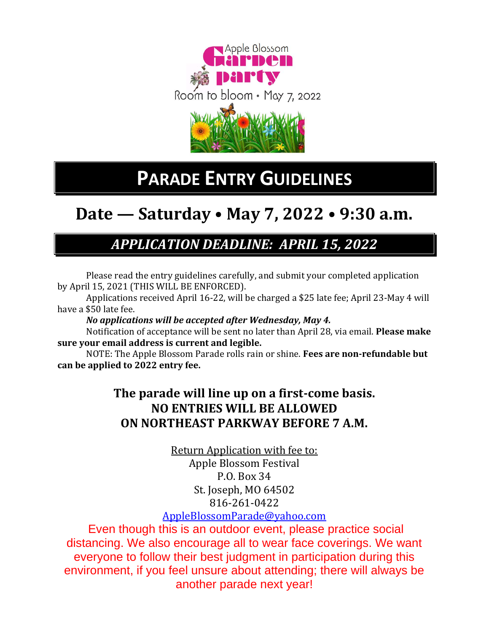

# **PARADE ENTRY GUIDELINES**

# **Date — Saturday • May 7, 2022 • 9:30 a.m.**

## *APPLICATION DEADLINE: APRIL 15, 2022*

Please read the entry guidelines carefully, and submit your completed application by April 15, 2021 (THIS WILL BE ENFORCED).

Applications received April 16-22, will be charged a \$25 late fee; April 23-May 4 will have a \$50 late fee.

### *No applications will be accepted after Wednesday, May 4.*

Notification of acceptance will be sent no later than April 28, via email. **Please make sure your email address is current and legible.** 

NOTE: The Apple Blossom Parade rolls rain or shine. **Fees are non-refundable but can be applied to 2022 entry fee.**

## **The parade will line up on a first-come basis. NO ENTRIES WILL BE ALLOWED ON NORTHEAST PARKWAY BEFORE 7 A.M.**

Return Application with fee to: Apple Blossom Festival P.O. Box 34 St. Joseph, MO 64502 816-261-0422

## [AppleBlossomParade@yahoo.com](mailto:AppleBlossomParade@yahoo.com)

Even though this is an outdoor event, please practice social distancing. We also encourage all to wear face coverings. We want everyone to follow their best judgment in participation during this environment, if you feel unsure about attending; there will always be another parade next year!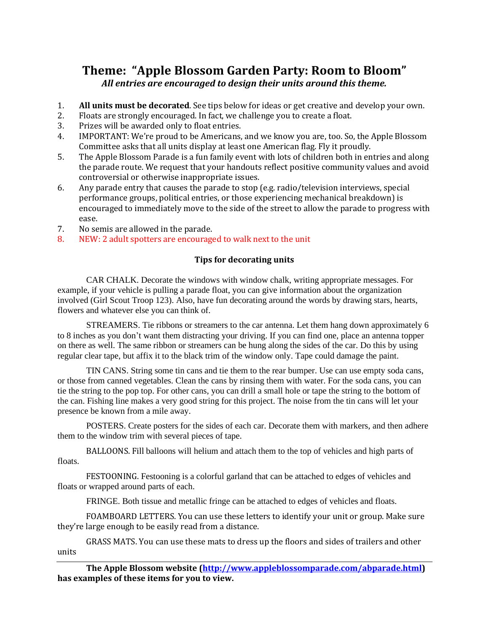## **Theme: "Apple Blossom Garden Party: Room to Bloom"** *All entries are encouraged to design their units around this theme.*

- 1. **All units must be decorated**. See tips below for ideas or get creative and develop your own.
- 2. Floats are strongly encouraged. In fact, we challenge you to create a float.
- 3. Prizes will be awarded only to float entries.
- 4. IMPORTANT: We're proud to be Americans, and we know you are, too. So, the Apple Blossom Committee asks that all units display at least one American flag. Fly it proudly.
- 5. The Apple Blossom Parade is a fun family event with lots of children both in entries and along the parade route. We request that your handouts reflect positive community values and avoid controversial or otherwise inappropriate issues.
- 6. Any parade entry that causes the parade to stop (e.g. radio/television interviews, special performance groups, political entries, or those experiencing mechanical breakdown) is encouraged to immediately move to the side of the street to allow the parade to progress with ease.
- 7. No semis are allowed in the parade.
- 8. NEW: 2 adult spotters are encouraged to walk next to the unit

#### **Tips for decorating units**

CAR CHALK. Decorate the windows with window chalk, writing appropriate messages. For example, if your vehicle is pulling a parade float, you can give information about the organization involved (Girl Scout Troop 123). Also, have fun decorating around the words by drawing stars, hearts, flowers and whatever else you can think of.

STREAMERS. Tie ribbons or streamers to the car antenna. Let them hang down approximately 6 to 8 inches as you don't want them distracting your driving. If you can find one, place an antenna topper on there as well. The same ribbon or streamers can be hung along the sides of the car. Do this by using regular clear tape, but affix it to the black trim of the window only. Tape could damage the paint.

TIN CANS. String some tin cans and tie them to the rear bumper. Use can use empty soda cans, or those from canned vegetables. Clean the cans by rinsing them with water. For the soda cans, you can tie the string to the pop top. For other cans, you can drill a small hole or tape the string to the bottom of the can. Fishing line makes a very good string for this project. The noise from the tin cans will let your presence be known from a mile away.

POSTERS. Create posters for the sides of each car. Decorate them with markers, and then adhere them to the window trim with several pieces of tape.

BALLOONS. Fill balloons will helium and attach them to the top of vehicles and high parts of floats.

FESTOONING. Festooning is a colorful garland that can be attached to edges of vehicles and floats or wrapped around parts of each.

FRINGE. Both tissue and metallic fringe can be attached to edges of vehicles and floats.

FOAMBOARD LETTERS. You can use these letters to identify your unit or group. Make sure they're large enough to be easily read from a distance.

GRASS MATS. You can use these mats to dress up the floors and sides of trailers and other units

**The Apple Blossom website [\(http://www.appleblossomparade.com/abparade.html\)](http://www.appleblossomparade.com/abparade.html) has examples of these items for you to view.**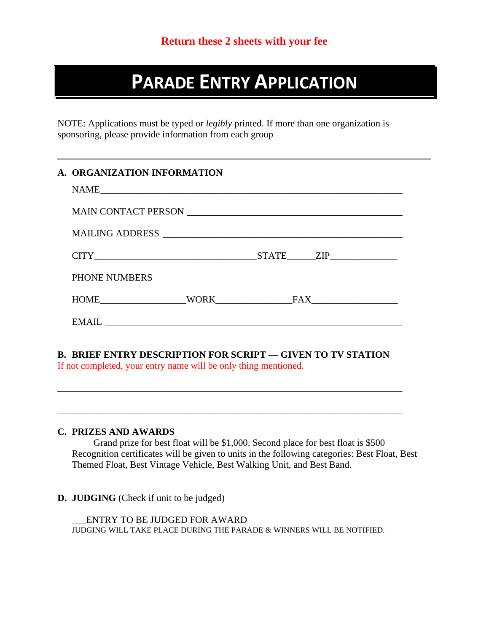# **PARADE ENTRY APPLICATION**

NOTE: Applications must be typed or *legibly* printed. If more than one organization is sponsoring, please provide information from each group

|                      | MAILING ADDRESS      |  |
|----------------------|----------------------|--|
|                      | $CITY$ $STATE$ $ZIP$ |  |
| <b>PHONE NUMBERS</b> |                      |  |
|                      |                      |  |
|                      |                      |  |

#### **C. PRIZES AND AWARDS**

Grand prize for best float will be \$1,000. Second place for best float is \$500 Recognition certificates will be given to units in the following categories: Best Float, Best Themed Float, Best Vintage Vehicle, Best Walking Unit, and Best Band.

\_\_\_\_\_\_\_\_\_\_\_\_\_\_\_\_\_\_\_\_\_\_\_\_\_\_\_\_\_\_\_\_\_\_\_\_\_\_\_\_\_\_\_\_\_\_\_\_\_\_\_\_\_\_\_\_\_\_\_\_\_\_\_\_\_\_\_\_\_\_\_\_

\_\_\_\_\_\_\_\_\_\_\_\_\_\_\_\_\_\_\_\_\_\_\_\_\_\_\_\_\_\_\_\_\_\_\_\_\_\_\_\_\_\_\_\_\_\_\_\_\_\_\_\_\_\_\_\_\_\_\_\_\_\_\_\_\_\_\_\_\_\_\_\_

#### **D. JUDGING** (Check if unit to be judged)

\_\_\_ENTRY TO BE JUDGED FOR AWARD JUDGING WILL TAKE PLACE DURING THE PARADE & WINNERS WILL BE NOTIFIED.